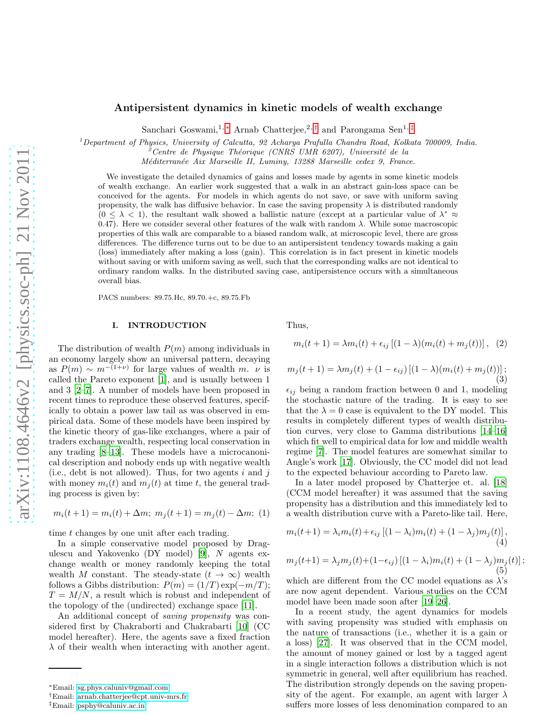# Antipersistent dynamics in kinetic models of wealth exchange

Sanchari Goswami,<sup>1, [∗](#page-0-0)</sup> Arnab Chatterjee,<sup>2,[†](#page-0-1)</sup> and Parongama Sen<sup>1,[‡](#page-0-2)</sup>

<sup>1</sup>*Department of Physics, University of Calcutta, 92 Acharya Prafulla Chandra Road, Kolkata 700009, India.*

<sup>2</sup>*Centre de Physique Th´eorique (CNRS UMR 6207), Universit´e de la*

*M´editerran´ee Aix Marseille II, Luminy, 13288 Marseille cedex 9, France.*

We investigate the detailed dynamics of gains and losses made by agents in some kinetic models of wealth exchange. An earlier work suggested that a walk in an abstract gain-loss space can be conceived for the agents. For models in which agents do not save, or save with uniform saving propensity, the walk has diffusive behavior. In case the saving propensity  $\lambda$  is distributed randomly  $(0 \leq \lambda < 1)$ , the resultant walk showed a ballistic nature (except at a particular value of  $\lambda^* \approx$ 0.47). Here we consider several other features of the walk with random  $\lambda$ . While some macroscopic properties of this walk are comparable to a biased random walk, at microscopic level, there are gross differences. The difference turns out to be due to an antipersistent tendency towards making a gain (loss) immediately after making a loss (gain). This correlation is in fact present in kinetic models without saving or with uniform saving as well, such that the corresponding walks are not identical to ordinary random walks. In the distributed saving case, antipersistence occurs with a simultaneous overall bias.

PACS numbers: 89.75.Hc, 89.70.+c, 89.75.Fb

### I. INTRODUCTION

The distribution of wealth  $P(m)$  among individuals in an economy largely show an universal pattern, decaying as  $P(m) \sim m^{-(1+\nu)}$  for large values of wealth m.  $\nu$  is called the Pareto exponent [\[1\]](#page-7-0), and is usually between 1 and 3 [\[2](#page-7-1)[–7\]](#page-7-2). A number of models have been proposed in recent times to reproduce these observed features, specifically to obtain a power law tail as was observed in empirical data. Some of these models have been inspired by the kinetic theory of gas-like exchanges, where a pair of traders exchange wealth, respecting local conservation in any trading [\[8](#page-7-3)[–13\]](#page-7-4). These models have a microcanonical description and nobody ends up with negative wealth (i.e., debt is not allowed). Thus, for two agents  $i$  and  $j$ with money  $m_i(t)$  and  $m_i(t)$  at time t, the general trading process is given by:

$$
m_i(t+1) = m_i(t) + \Delta m; \ m_j(t+1) = m_j(t) - \Delta m; \ (1)
$$

time t changes by one unit after each trading.

In a simple conservative model proposed by Dragulescu and Yakovenko (DY model) [\[9\]](#page-7-5), N agents exchange wealth or money randomly keeping the total wealth M constant. The steady-state  $(t \to \infty)$  wealth follows a Gibbs distribution:  $P(m) = (1/T) \exp(-m/T)$ ;  $T = M/N$ , a result which is robust and independent of the topology of the (undirected) exchange space [\[11\]](#page-7-6).

An additional concept of saving propensity was considered first by Chakraborti and Chakrabarti [\[10\]](#page-7-7) (CC model hereafter). Here, the agents save a fixed fraction  $\lambda$  of their wealth when interacting with another agent. Thus,

$$
m_i(t + 1) = \lambda m_i(t) + \epsilon_{ij} [(1 - \lambda)(m_i(t) + m_j(t))], (2)
$$

$$
m_j(t+1) = \lambda m_j(t) + (1 - \epsilon_{ij}) [(1 - \lambda)(m_i(t) + m_j(t))];
$$
\n(3)

 $\epsilon_{ij}$  being a random fraction between 0 and 1, modeling the stochastic nature of the trading. It is easy to see that the  $\lambda = 0$  case is equivalent to the DY model. This results in completely different types of wealth distribution curves, very close to Gamma distributions [\[14](#page-7-8)[–16\]](#page-7-9) which fit well to empirical data for low and middle wealth regime [\[7](#page-7-2)]. The model features are somewhat similar to Angle's work [\[17\]](#page-7-10). Obviously, the CC model did not lead to the expected behaviour according to Pareto law.

In a later model proposed by Chatterjee et. al. [\[18](#page-7-11)] (CCM model hereafter) it was assumed that the saving propensity has a distribution and this immediately led to a wealth distribution curve with a Pareto-like tail. Here,

$$
m_i(t+1) = \lambda_i m_i(t) + \epsilon_{ij} \left[ (1 - \lambda_i) m_i(t) + (1 - \lambda_j) m_j(t) \right],\tag{4}
$$

$$
m_j(t+1) = \lambda_j m_j(t) + (1 - \epsilon_{ij}) [(1 - \lambda_i) m_i(t) + (1 - \lambda_j) m_j(t)];
$$
\n(5)

which are different from the CC model equations as  $\lambda$ 's are now agent dependent. Various studies on the CCM model have been made soon after [\[19](#page-7-12)[–26\]](#page-7-13).

In a recent study, the agent dynamics for models with saving propensity was studied with emphasis on the nature of transactions (i.e., whether it is a gain or a loss) [\[27](#page-7-14)]. It was observed that in the CCM model, the amount of money gained or lost by a tagged agent in a single interaction follows a distribution which is not symmetric in general, well after equilibrium has reached. The distribution strongly depends on the saving propensity of the agent. For example, an agent with larger  $\lambda$ suffers more losses of less denomination compared to an

<span id="page-0-0"></span><sup>∗</sup>Email: [sg.phys.caluniv@gmail.com](mailto:sg.phys.caluniv@gmail.com)

<span id="page-0-1"></span><sup>†</sup>Email: [arnab.chatterjee@cpt.univ-mrs.fr](mailto:arnab.chatterjee@cpt.univ-mrs.fr)

<span id="page-0-2"></span><sup>‡</sup>Email: [psphy@caluniv.ac.in](mailto:psphy@caluniv.ac.in)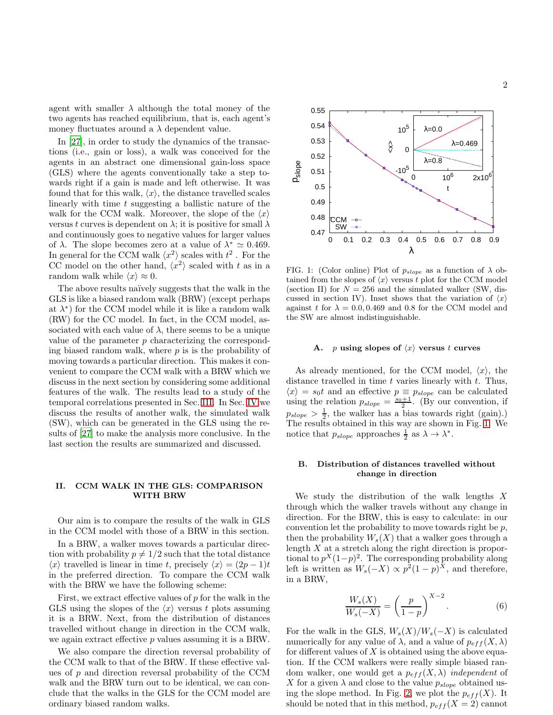agent with smaller  $\lambda$  although the total money of the two agents has reached equilibrium, that is, each agent's money fluctuates around a  $\lambda$  dependent value.

In [\[27](#page-7-14)], in order to study the dynamics of the transactions (i.e., gain or loss), a walk was conceived for the agents in an abstract one dimensional gain-loss space (GLS) where the agents conventionally take a step towards right if a gain is made and left otherwise. It was found that for this walk,  $\langle x \rangle$ , the distance travelled scales linearly with time t suggesting a ballistic nature of the walk for the CCM walk. Moreover, the slope of the  $\langle x \rangle$ versus t curves is dependent on  $\lambda$ ; it is positive for small  $\lambda$ and continuously goes to negative values for larger values of  $\lambda$ . The slope becomes zero at a value of  $\lambda^* \simeq 0.469$ . In general for the CCM walk  $\langle x^2 \rangle$  scales with  $t^2$  . For the CC model on the other hand,  $\langle x^2 \rangle$  scaled with t as in a random walk while  $\langle x \rangle \approx 0$ .

The above results naïvely suggests that the walk in the GLS is like a biased random walk (BRW) (except perhaps at  $\lambda^*$ ) for the CCM model while it is like a random walk (RW) for the CC model. In fact, in the CCM model, associated with each value of  $\lambda$ , there seems to be a unique value of the parameter p characterizing the corresponding biased random walk, where  $p$  is is the probability of moving towards a particular direction. This makes it convenient to compare the CCM walk with a BRW which we discuss in the next section by considering some additional features of the walk. The results lead to a study of the temporal correlations presented in Sec. [III.](#page-3-0) In Sec. [IV](#page-5-0) we discuss the results of another walk, the simulated walk (SW), which can be generated in the GLS using the results of [\[27\]](#page-7-14) to make the analysis more conclusive. In the last section the results are summarized and discussed.

### II. CCM WALK IN THE GLS: COMPARISON WITH BRW

Our aim is to compare the results of the walk in GLS in the CCM model with those of a BRW in this section.

In a BRW, a walker moves towards a particular direction with probability  $p \neq 1/2$  such that the total distance  $\langle x \rangle$  travelled is linear in time t, precisely  $\langle x \rangle = (2p - 1)t$ in the preferred direction. To compare the CCM walk with the BRW we have the following scheme:

First, we extract effective values of  $p$  for the walk in the GLS using the slopes of the  $\langle x \rangle$  versus t plots assuming it is a BRW. Next, from the distribution of distances travelled without change in direction in the CCM walk, we again extract effective p values assuming it is a BRW.

We also compare the direction reversal probability of the CCM walk to that of the BRW. If these effective values of  $p$  and direction reversal probability of the CCM walk and the BRW turn out to be identical, we can conclude that the walks in the GLS for the CCM model are ordinary biased random walks.



<span id="page-1-0"></span>FIG. 1: (Color online) Plot of  $p_{slope}$  as a function of  $\lambda$  obtained from the slopes of  $\langle x \rangle$  versus t plot for the CCM model (section II) for  $N = 256$  and the simulated walker (SW, discussed in section IV). Inset shows that the variation of  $\langle x \rangle$ against t for  $\lambda = 0.0, 0.469$  and 0.8 for the CCM model and the SW are almost indistinguishable.

#### A. p using slopes of  $\langle x \rangle$  versus t curves

As already mentioned, for the CCM model,  $\langle x \rangle$ , the distance travelled in time  $t$  varies linearly with  $t$ . Thus,  $\langle x \rangle = s_0t$  and an effective  $p \equiv p_{slope}$  can be calculated using the relation  $p_{slope} = \frac{s_0+1}{2}$ . (By our convention, if  $p_{slope} > \frac{1}{2}$ , the walker has a bias towards right (gain).) The results obtained in this way are shown in Fig. [1.](#page-1-0) We notice that  $p_{slope}$  approaches  $\frac{1}{2}$  as  $\lambda \to \lambda^*$ .

#### B. Distribution of distances travelled without change in direction

We study the distribution of the walk lengths  $X$ through which the walker travels without any change in direction. For the BRW, this is easy to calculate: in our convention let the probability to move towards right be  $p$ , then the probability  $W_s(X)$  that a walker goes through a length X at a stretch along the right direction is proportional to  $p^X(1-p)^2$ . The corresponding probability along left is written as  $W_s(-X) \propto p^2(1-p)^X$ , and therefore, in a BRW,

<span id="page-1-1"></span>
$$
\frac{W_s(X)}{W_s(-X)} = \left(\frac{p}{1-p}\right)^{X-2}.\tag{6}
$$

For the walk in the GLS,  $W_s(X)/W_s(-X)$  is calculated numerically for any value of  $\lambda$ , and a value of  $p_{eff}(X,\lambda)$ for different values of  $X$  is obtained using the above equation. If the CCM walkers were really simple biased random walker, one would get a  $p_{eff}(X, \lambda)$  independent of X for a given  $\lambda$  and close to the value  $p_{slope}$  obtained us-ing the slope method. In Fig. [2,](#page-2-0) we plot the  $p_{eff}(X)$ . It should be noted that in this method,  $p_{eff}(X = 2)$  cannot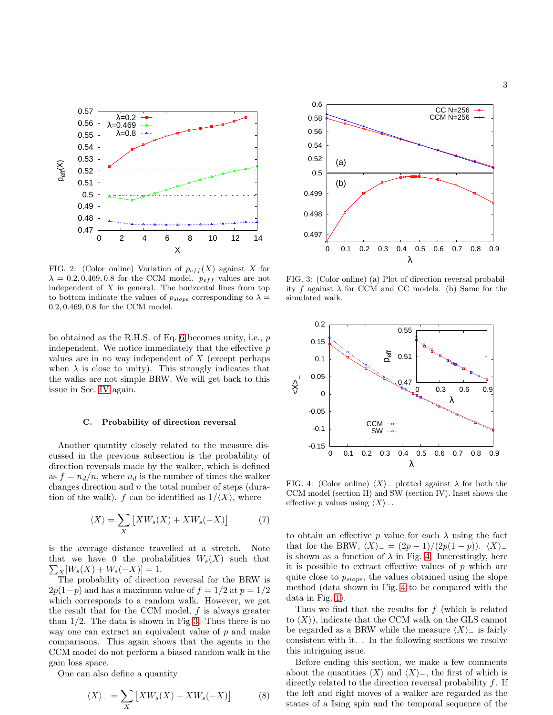

<span id="page-2-0"></span>FIG. 2: (Color online) Variation of  $p_{eff}(X)$  against X for  $\lambda = 0.2, 0.469, 0.8$  for the CCM model.  $p_{eff}$  values are not independent of  $X$  in general. The horizontal lines from top to bottom indicate the values of  $p_{slope}$  corresponding to  $\lambda =$ 0.2, 0.469, 0.8 for the CCM model.

be obtained as the R.H.S. of Eq. [6](#page-1-1) becomes unity, i.e., p independent. We notice immediately that the effective  $p$ values are in no way independent of  $X$  (except perhaps when  $\lambda$  is close to unity). This strongly indicates that the walks are not simple BRW. We will get back to this issue in Sec. [IV](#page-5-0) again.

### C. Probability of direction reversal

Another quantity closely related to the measure discussed in the previous subsection is the probability of direction reversals made by the walker, which is defined as  $f = n_d/n$ , where  $n_d$  is the number of times the walker changes direction and  $n$  the total number of steps (duration of the walk). f can be identified as  $1/\langle X \rangle$ , where

<span id="page-2-3"></span>
$$
\langle X \rangle = \sum_{X} \left[ X W_s(X) + X W_s(-X) \right] \tag{7}
$$

is the average distance travelled at a stretch. Note  $\sum_X [W_s(X) + W_s(-X)] = 1.$ that we have 0 the probabilities  $W_s(X)$  such that

The probability of direction reversal for the BRW is  $2p(1-p)$  and has a maximum value of  $f = 1/2$  at  $p = 1/2$ which corresponds to a random walk. However, we get the result that for the CCM model,  $f$  is always greater than  $1/2$ . The data is shown in Fig [3.](#page-2-1) Thus there is no way one can extract an equivalent value of p and make comparisons. This again shows that the agents in the CCM model do not perform a biased random walk in the gain loss space.

One can also define a quantity

<span id="page-2-4"></span>
$$
\langle X \rangle_{-} = \sum_{X} \left[ X W_s(X) - X W_s(-X) \right] \tag{8}
$$



<span id="page-2-1"></span>FIG. 3: (Color online) (a) Plot of direction reversal probability f against  $\lambda$  for CCM and CC models. (b) Same for the simulated walk.



<span id="page-2-2"></span>FIG. 4: (Color online)  $\langle X \rangle$ <sub>−</sub> plotted against  $\lambda$  for both the CCM model (section II) and SW (section IV). Inset shows the effective p values using  $\langle X \rangle$ <sub>−</sub>.

to obtain an effective p value for each  $\lambda$  using the fact that for the BRW,  $\langle X \rangle = (2p-1)/(2p(1-p))$ .  $\langle X \rangle$ <sub>−</sub> is shown as a function of  $\lambda$  in Fig. [4.](#page-2-2) Interestingly, here it is possible to extract effective values of  $p$  which are quite close to  $p_{slope}$ , the values obtained using the slope method (data shown in Fig. [4](#page-2-2) to be compared with the data in Fig. [1\)](#page-1-0).

Thus we find that the results for  $f$  (which is related to  $\langle X \rangle$ , indicate that the CCM walk on the GLS cannot be regarded as a BRW while the measure  $\langle X \rangle$ <sub>−</sub> is fairly consistent with it. . In the following sections we resolve this intriguing issue.

Before ending this section, we make a few comments about the quantities  $\langle X \rangle$  and  $\langle X \rangle$ <sub>−</sub>, the first of which is directly related to the direction reversal probability f. If the left and right moves of a walker are regarded as the states of a Ising spin and the temporal sequence of the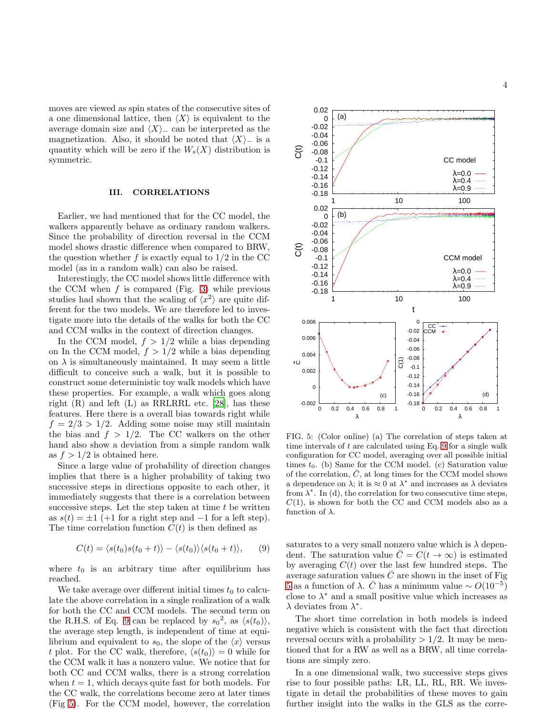moves are viewed as spin states of the consecutive sites of a one dimensional lattice, then  $\langle X \rangle$  is equivalent to the average domain size and  $\langle X \rangle$ <sub>−</sub> can be interpreted as the magnetization. Also, it should be noted that  $\langle X \rangle$ <sub>−</sub> is a quantity which will be zero if the  $W_s(X)$  distribution is symmetric.

## <span id="page-3-0"></span>III. CORRELATIONS

Earlier, we had mentioned that for the CC model, the walkers apparently behave as ordinary random walkers. Since the probability of direction reversal in the CCM model shows drastic difference when compared to BRW, the question whether f is exactly equal to  $1/2$  in the CC model (as in a random walk) can also be raised.

Interestingly, the CC model shows little difference with the CCM when  $f$  is compared (Fig. [3\)](#page-2-1) while previous studies had shown that the scaling of  $\langle x^2 \rangle$  are quite different for the two models. We are therefore led to investigate more into the details of the walks for both the CC and CCM walks in the context of direction changes.

In the CCM model,  $f > 1/2$  while a bias depending on In the CCM model,  $f > 1/2$  while a bias depending on  $\lambda$  is simultaneously maintained. It may seem a little difficult to conceive such a walk, but it is possible to construct some deterministic toy walk models which have these properties. For example, a walk which goes along right  $(R)$  and left  $(L)$  as RRLRRL etc.  $[28]$ , has these features. Here there is a overall bias towards right while  $f = 2/3 > 1/2$ . Adding some noise may still maintain the bias and  $f > 1/2$ . The CC walkers on the other hand also show a deviation from a simple random walk as  $f > 1/2$  is obtained here.

Since a large value of probability of direction changes implies that there is a higher probability of taking two successive steps in directions opposite to each other, it immediately suggests that there is a correlation between successive steps. Let the step taken at time  $t$  be written as  $s(t) = \pm 1$  (+1 for a right step and -1 for a left step). The time correlation function  $C(t)$  is then defined as

<span id="page-3-1"></span>
$$
C(t) = \langle s(t_0)s(t_0 + t) \rangle - \langle s(t_0) \rangle \langle s(t_0 + t) \rangle, \qquad (9)
$$

where  $t_0$  is an arbitrary time after equilibrium has reached.

We take average over different initial times  $t_0$  to calculate the above correlation in a single realization of a walk for both the CC and CCM models. The second term on the R.H.S. of Eq. [9](#page-3-1) can be replaced by  $s_0^2$ , as  $\langle s(t_0) \rangle$ , the average step length, is independent of time at equilibrium and equivalent to  $s_0$ , the slope of the  $\langle x \rangle$  versus t plot. For the CC walk, therefore,  $\langle s(t_0)\rangle = 0$  while for the CCM walk it has a nonzero value. We notice that for both CC and CCM walks, there is a strong correlation when  $t = 1$ , which decays quite fast for both models. For the CC walk, the correlations become zero at later times (Fig [5\)](#page-3-2). For the CCM model, however, the correlation



<span id="page-3-2"></span>FIG. 5: (Color online) (a) The correlation of steps taken at time intervals of t are calculated using Eq. [9](#page-3-1) for a single walk configuration for CC model, averaging over all possible initial times  $t_0$ . (b) Same for the CCM model. (c) Saturation value of the correlation,  $\overline{C}$ , at long times for the CCM model shows a dependence on  $\lambda$ ; it is  $\approx 0$  at  $\lambda^*$  and increases as  $\lambda$  deviates from  $\lambda^*$ . In (d), the correlation for two consecutive time steps,  $C(1)$ , is shown for both the CC and CCM models also as a function of  $\lambda$ .

saturates to a very small nonzero value which is  $\lambda$  dependent. The saturation value  $\overline{C} = C(t \to \infty)$  is estimated by averaging  $C(t)$  over the last few hundred steps. The average saturation values  $\bar{C}$  are shown in the inset of Fig [5](#page-3-2) as a function of  $\lambda$ .  $\overline{C}$  has a minimum value ~  $O(10^{-5})$ close to  $\lambda^*$  and a small positive value which increases as  $\lambda$  deviates from  $\lambda^*$ .

The short time correlation in both models is indeed negative which is consistent with the fact that direction reversal occurs with a probability  $> 1/2$ . It may be mentioned that for a RW as well as a BRW, all time correlations are simply zero.

In a one dimensional walk, two successive steps gives rise to four possible paths: LR, LL, RL, RR. We investigate in detail the probabilities of these moves to gain further insight into the walks in the GLS as the corre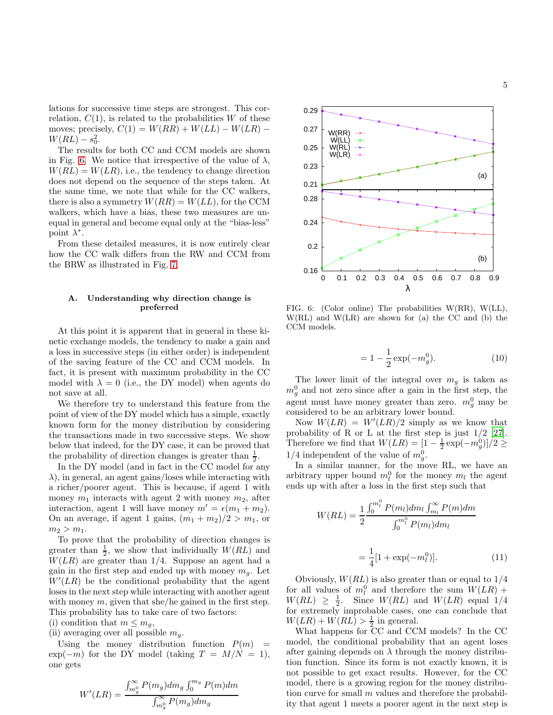lations for successive time steps are strongest. This correlation,  $C(1)$ , is related to the probabilities W of these moves; precisely,  $C(1) = W(RR) + W(LL) - W(LR) W(RL) - s_0^2$ .

The results for both CC and CCM models are shown in Fig. [6.](#page-4-0) We notice that irrespective of the value of  $\lambda$ ,  $W(RL) = W(LR)$ , i.e., the tendency to change direction does not depend on the sequence of the steps taken. At the same time, we note that while for the CC walkers, there is also a symmetry  $W(RR) = W(LL)$ , for the CCM walkers, which have a bias, these two measures are unequal in general and become equal only at the "bias-less" point  $\lambda^*$ .

From these detailed measures, it is now entirely clear how the CC walk differs from the RW and CCM from the BRW as illustrated in Fig. [7.](#page-5-1)

# A. Understanding why direction change is preferred

At this point it is apparent that in general in these kinetic exchange models, the tendency to make a gain and a loss in successive steps (in either order) is independent of the saving feature of the CC and CCM models. In fact, it is present with maximum probability in the CC model with  $\lambda = 0$  (i.e., the DY model) when agents do not save at all.

We therefore try to understand this feature from the point of view of the DY model which has a simple, exactly known form for the money distribution by considering the transactions made in two successive steps. We show below that indeed, for the DY case, it can be proved that the probability of direction changes is greater than  $\frac{1}{2}$ .

In the DY model (and in fact in the CC model for any  $\lambda$ ), in general, an agent gains/loses while interacting with a richer/poorer agent. This is because, if agent 1 with money  $m_1$  interacts with agent 2 with money  $m_2$ , after interaction, agent 1 will have money  $m' = \epsilon(m_1 + m_2)$ . On an average, if agent 1 gains,  $(m_1 + m_2)/2 > m_1$ , or  $m_2 > m_1$ .

To prove that the probability of direction changes is greater than  $\frac{1}{2}$ , we show that individually  $W(RL)$  and  $W(LR)$  are greater than 1/4. Suppose an agent had a gain in the first step and ended up with money  $m_q$ . Let  $W'(LR)$  be the conditional probability that the agent loses in the next step while interacting with another agent with money  $m$ , given that she/he gained in the first step. This probability has to take care of two factors:

(i) condition that  $m \leq m_q$ ,

(ii) averaging over all possible  $m_q$ .

Using the money distribution function  $P(m)$  =  $\exp(-m)$  for the DY model (taking  $T = M/N = 1$ ), one gets

$$
W'(LR) = \frac{\int_{m_g^0}^{\infty} P(m_g) dm_g \int_0^{m_g} P(m) dm}{\int_{m_g^0}^{\infty} P(m_g) dm_g}
$$



<span id="page-4-0"></span>FIG. 6: (Color online) The probabilities W(RR), W(LL), W(RL) and W(LR) are shown for (a) the CC and (b) the CCM models.

$$
= 1 - \frac{1}{2} \exp(-m_g^0). \tag{10}
$$

The lower limit of the integral over  $m<sub>g</sub>$  is taken as  $m_g^0$  and not zero since after a gain in the first step, the agent must have money greater than zero.  $m_g^0$  may be considered to be an arbitrary lower bound.

Now  $W(LR) = W'(LR)/2$  simply as we know that probability of R or L at the first step is just  $1/2$  [\[27\]](#page-7-14). Therefore we find that  $W(LR) = \left[1 - \frac{1}{2} \exp(-m_g^0)\right] / 2 \geq$  $1/4$  independent of the value of  $m_g^0$ .

In a similar manner, for the move RL, we have an arbitrary upper bound  $m_l^0$  for the money  $m_l$  the agent ends up with after a loss in the first step such that

$$
W(RL) = \frac{1}{2} \frac{\int_0^{m_l^0} P(m_l) dm_l \int_{m_l}^{\infty} P(m_l) dm}{\int_0^{m_l^0} P(m_l) dm_l}
$$

$$
= \frac{1}{4} [1 + \exp(-m_l^0)]. \tag{11}
$$

Obviously,  $W(RL)$  is also greater than or equal to  $1/4$ for all values of  $m_l^0$  and therefore the sum  $W(LR)$  +  $W(RL) \geq \frac{1}{2}$ . Since  $W(RL)$  and  $W(LR)$  equal 1/4 for extremely improbable cases, one can conclude that  $W(LR) + W(RL) > \frac{1}{2}$  in general.

What happens for CC and CCM models? In the CC model, the conditional probability that an agent loses after gaining depends on  $\lambda$  through the money distribution function. Since its form is not exactly known, it is not possible to get exact results. However, for the CC model, there is a growing region for the money distribution curve for small  $m$  values and therefore the probability that agent 1 meets a poorer agent in the next step is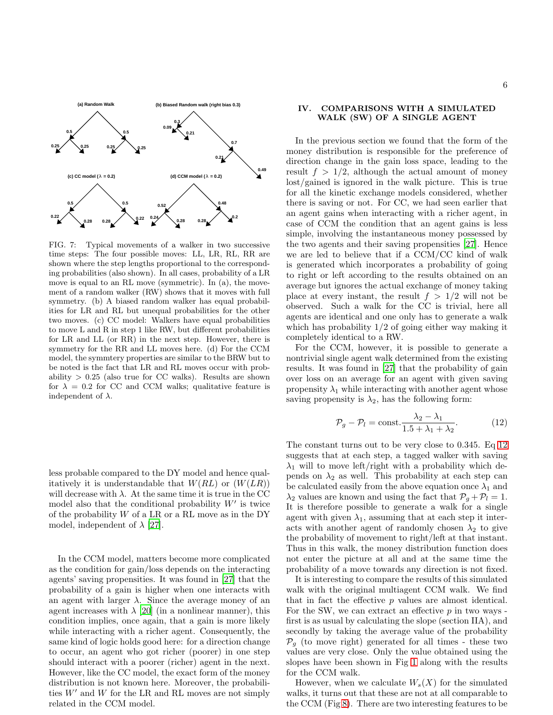

<span id="page-5-1"></span>FIG. 7: Typical movements of a walker in two successive time steps: The four possible moves: LL, LR, RL, RR are shown where the step lengths proportional to the corresponding probabilities (also shown). In all cases, probability of a LR move is equal to an RL move (symmetric). In (a), the movement of a random walker (RW) shows that it moves with full symmetry. (b) A biased random walker has equal probabilities for LR and RL but unequal probabilities for the other two moves. (c) CC model: Walkers have equal probabilities to move L and R in step 1 like RW, but different probabilities for LR and LL (or RR) in the next step. However, there is symmetry for the RR and LL moves here. (d) For the CCM model, the symmtery properties are similar to the BRW but to be noted is the fact that LR and RL moves occur with probability  $> 0.25$  (also true for CC walks). Results are shown for  $\lambda = 0.2$  for CC and CCM walks; qualitative feature is independent of  $\lambda$ .

less probable compared to the DY model and hence qualitatively it is understandable that  $W(RL)$  or  $(W(LR))$ will decrease with  $\lambda$ . At the same time it is true in the CC model also that the conditional probability  $W'$  is twice of the probability  $W$  of a LR or a RL move as in the DY model, independent of  $\lambda$  [\[27](#page-7-14)].

In the CCM model, matters become more complicated as the condition for gain/loss depends on the interacting agents' saving propensities. It was found in [\[27\]](#page-7-14) that the probability of a gain is higher when one interacts with an agent with larger  $\lambda$ . Since the average money of an agent increases with  $\lambda$  [\[20\]](#page-7-16) (in a nonlinear manner), this condition implies, once again, that a gain is more likely while interacting with a richer agent. Consequently, the same kind of logic holds good here: for a direction change to occur, an agent who got richer (poorer) in one step should interact with a poorer (richer) agent in the next. However, like the CC model, the exact form of the money distribution is not known here. Moreover, the probabilities  $W'$  and  $W$  for the LR and RL moves are not simply related in the CCM model.

# <span id="page-5-0"></span>IV. COMPARISONS WITH A SIMULATED WALK (SW) OF A SINGLE AGENT

In the previous section we found that the form of the money distribution is responsible for the preference of direction change in the gain loss space, leading to the result  $f > 1/2$ , although the actual amount of money lost/gained is ignored in the walk picture. This is true for all the kinetic exchange models considered, whether there is saving or not. For CC, we had seen earlier that an agent gains when interacting with a richer agent, in case of CCM the condition that an agent gains is less simple, involving the instantaneous money possessed by the two agents and their saving propensities [\[27\]](#page-7-14). Hence we are led to believe that if a CCM/CC kind of walk is generated which incorporates a probability of going to right or left according to the results obtained on an average but ignores the actual exchange of money taking place at every instant, the result  $f > 1/2$  will not be observed. Such a walk for the CC is trivial, here all agents are identical and one only has to generate a walk which has probability  $1/2$  of going either way making it completely identical to a RW.

For the CCM, however, it is possible to generate a nontrivial single agent walk determined from the existing results. It was found in [\[27\]](#page-7-14) that the probability of gain over loss on an average for an agent with given saving propensity  $\lambda_1$  while interacting with another agent whose saving propensity is  $\lambda_2$ , has the following form:

<span id="page-5-2"></span>
$$
\mathcal{P}_g - \mathcal{P}_l = \text{const.} \frac{\lambda_2 - \lambda_1}{1.5 + \lambda_1 + \lambda_2}.
$$
 (12)

The constant turns out to be very close to 0.345. Eq [12](#page-5-2) suggests that at each step, a tagged walker with saving  $\lambda_1$  will to move left/right with a probability which depends on  $\lambda_2$  as well. This probability at each step can be calculated easily from the above equation once  $\lambda_1$  and  $\lambda_2$  values are known and using the fact that  $\mathcal{P}_q + \mathcal{P}_l = 1$ . It is therefore possible to generate a walk for a single agent with given  $\lambda_1$ , assuming that at each step it interacts with another agent of randomly chosen  $\lambda_2$  to give the probability of movement to right/left at that instant. Thus in this walk, the money distribution function does not enter the picture at all and at the same time the probability of a move towards any direction is not fixed.

It is interesting to compare the results of this simulated walk with the original multiagent CCM walk. We find that in fact the effective  $p$  values are almost identical. For the SW, we can extract an effective  $p$  in two ways first is as usual by calculating the slope (section IIA), and secondly by taking the average value of the probability  $\mathcal{P}_q$  (to move right) generated for all times - these two values are very close. Only the value obtained using the slopes have been shown in Fig [1](#page-1-0) along with the results for the CCM walk.

However, when we calculate  $W_s(X)$  for the simulated walks, it turns out that these are not at all comparable to the CCM (Fig [8\)](#page-6-0). There are two interesting features to be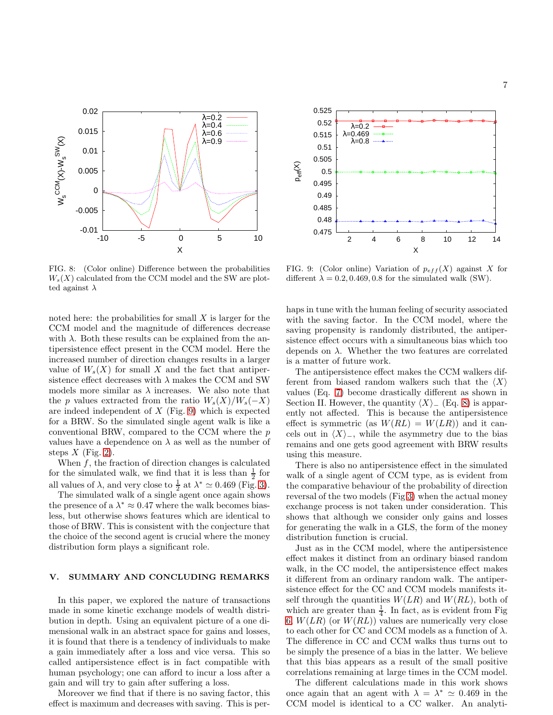



<span id="page-6-0"></span>FIG. 8: (Color online) Difference between the probabilities  $W_s(X)$  calculated from the CCM model and the SW are plotted against  $\lambda$ 

noted here: the probabilities for small  $X$  is larger for the CCM model and the magnitude of differences decrease with  $\lambda$ . Both these results can be explained from the antipersistence effect present in the CCM model. Here the increased number of direction changes results in a larger value of  $W_s(X)$  for small X and the fact that antipersistence effect decreases with  $\lambda$  makes the CCM and SW models more similar as  $\lambda$  increases. We also note that the p values extracted from the ratio  $W_s(X)/W_s(-X)$ are indeed independent of  $X$  (Fig. [9\)](#page-6-1) which is expected for a BRW. So the simulated single agent walk is like a conventional BRW, compared to the CCM where the  $p$ values have a dependence on  $\lambda$  as well as the number of steps  $X$  (Fig. [2\)](#page-2-0).

When  $f$ , the fraction of direction changes is calculated for the simulated walk, we find that it is less than  $\frac{1}{2}$  for all values of  $\lambda$ , and very close to  $\frac{1}{2}$  at  $\lambda^* \simeq 0.469$  (Fig. [3\)](#page-2-1).

The simulated walk of a single agent once again shows the presence of a  $\lambda^* \approx 0.47$  where the walk becomes biasless, but otherwise shows features which are identical to those of BRW. This is consistent with the conjecture that the choice of the second agent is crucial where the money distribution form plays a significant role.

## V. SUMMARY AND CONCLUDING REMARKS

In this paper, we explored the nature of transactions made in some kinetic exchange models of wealth distribution in depth. Using an equivalent picture of a one dimensional walk in an abstract space for gains and losses, it is found that there is a tendency of individuals to make a gain immediately after a loss and vice versa. This so called antipersistence effect is in fact compatible with human psychology; one can afford to incur a loss after a gain and will try to gain after suffering a loss.

Moreover we find that if there is no saving factor, this effect is maximum and decreases with saving. This is per-

<span id="page-6-1"></span>FIG. 9: (Color online) Variation of  $p_{eff}(X)$  against X for different  $\lambda = 0.2, 0.469, 0.8$  for the simulated walk (SW).

haps in tune with the human feeling of security associated with the saving factor. In the CCM model, where the saving propensity is randomly distributed, the antipersistence effect occurs with a simultaneous bias which too depends on  $\lambda$ . Whether the two features are correlated is a matter of future work.

The antipersistence effect makes the CCM walkers different from biased random walkers such that the  $\langle X \rangle$ values (Eq. [7\)](#page-2-3) become drastically different as shown in Section II. However, the quantity  $\langle X \rangle$ <sub>−</sub> (Eq. [8\)](#page-2-4) is apparently not affected. This is because the antipersistence effect is symmetric (as  $W(RL) = W(LR)$ ) and it cancels out in  $\langle X\rangle$ <sub>−</sub>, while the asymmetry due to the bias remains and one gets good agreement with BRW results using this measure.

There is also no antipersistence effect in the simulated walk of a single agent of CCM type, as is evident from the comparative behaviour of the probability of direction reversal of the two models (Fig [3\)](#page-2-1) when the actual money exchange process is not taken under consideration. This shows that although we consider only gains and losses for generating the walk in a GLS, the form of the money distribution function is crucial.

Just as in the CCM model, where the antipersistence effect makes it distinct from an ordinary biased random walk, in the CC model, the antipersistence effect makes it different from an ordinary random walk. The antipersistence effect for the CC and CCM models manifests itself through the quantities  $W(LR)$  and  $W(RL)$ , both of which are greater than  $\frac{1}{4}$ . In fact, as is evident from Fig [6,](#page-4-0)  $W(LR)$  (or  $W(RL)$ ) values are numerically very close to each other for CC and CCM models as a function of  $\lambda$ . The difference in CC and CCM walks thus turns out to be simply the presence of a bias in the latter. We believe that this bias appears as a result of the small positive correlations remaining at large times in the CCM model.

The different calculations made in this work shows once again that an agent with  $\lambda = \lambda^* \simeq 0.469$  in the CCM model is identical to a CC walker. An analyti-